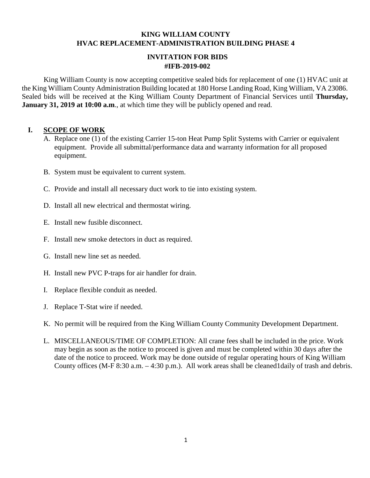## **KING WILLIAM COUNTY HVAC REPLACEMENT-ADMINISTRATION BUILDING PHASE 4**

#### **INVITATION FOR BIDS #IFB-2019-002**

King William County is now accepting competitive sealed bids for replacement of one (1) HVAC unit at the King William County Administration Building located at 180 Horse Landing Road, King William, VA 23086. Sealed bids will be received at the King William County Department of Financial Services until **Thursday, January 31, 2019 at 10:00 a.m.**, at which time they will be publicly opened and read.

## **I. SCOPE OF WORK**

- A. Replace one (1) of the existing Carrier 15-ton Heat Pump Split Systems with Carrier or equivalent equipment. Provide all submittal/performance data and warranty information for all proposed equipment.
- B. System must be equivalent to current system.
- C. Provide and install all necessary duct work to tie into existing system.
- D. Install all new electrical and thermostat wiring.
- E. Install new fusible disconnect.
- F. Install new smoke detectors in duct as required.
- G. Install new line set as needed.
- H. Install new PVC P-traps for air handler for drain.
- I. Replace flexible conduit as needed.
- J. Replace T-Stat wire if needed.
- K. No permit will be required from the King William County Community Development Department.
- L. MISCELLANEOUS/TIME OF COMPLETION: All crane fees shall be included in the price. Work may begin as soon as the notice to proceed is given and must be completed within 30 days after the date of the notice to proceed. Work may be done outside of regular operating hours of King William County offices (M-F 8:30 a.m. – 4:30 p.m.). All work areas shall be cleaned1daily of trash and debris.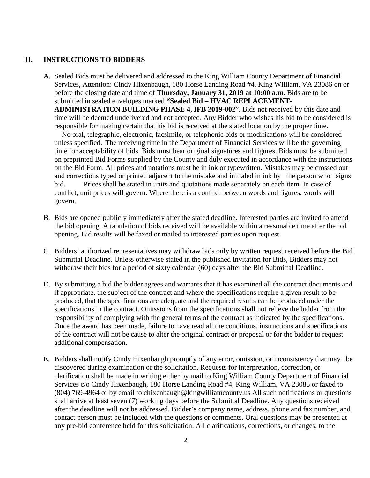#### **II. INSTRUCTIONS TO BIDDERS**

A. Sealed Bids must be delivered and addressed to the King William County Department of Financial Services, Attention: Cindy Hixenbaugh, 180 Horse Landing Road #4, King William, VA 23086 on or before the closing date and time of **Thursday, January 31, 2019 at 10:00 a.m**. Bids are to be submitted in sealed envelopes marked **"Sealed Bid – HVAC REPLACEMENT-ADMINISTRATION BUILDING PHASE 4, IFB 2019-002**". Bids not received by this date and time will be deemed undelivered and not accepted. Any Bidder who wishes his bid to be considered is responsible for making certain that his bid is received at the stated location by the proper time.

No oral, telegraphic, electronic, facsimile, or telephonic bids or modifications will be considered unless specified. The receiving time in the Department of Financial Services will be the governing time for acceptability of bids. Bids must bear original signatures and figures. Bids must be submitted on preprinted Bid Forms supplied by the County and duly executed in accordance with the instructions on the Bid Form. All prices and notations must be in ink or typewritten. Mistakes may be crossed out and corrections typed or printed adjacent to the mistake and initialed in ink by the person who signs bid. Prices shall be stated in units and quotations made separately on each item. In case of conflict, unit prices will govern. Where there is a conflict between words and figures, words will govern.

- B. Bids are opened publicly immediately after the stated deadline. Interested parties are invited to attend the bid opening. A tabulation of bids received will be available within a reasonable time after the bid opening. Bid results will be faxed or mailed to interested parties upon request.
- C. Bidders' authorized representatives may withdraw bids only by written request received before the Bid Submittal Deadline. Unless otherwise stated in the published Invitation for Bids, Bidders may not withdraw their bids for a period of sixty calendar (60) days after the Bid Submittal Deadline.
- D. By submitting a bid the bidder agrees and warrants that it has examined all the contract documents and if appropriate, the subject of the contract and where the specifications require a given result to be produced, that the specifications are adequate and the required results can be produced under the specifications in the contract. Omissions from the specifications shall not relieve the bidder from the responsibility of complying with the general terms of the contract as indicated by the specifications. Once the award has been made, failure to have read all the conditions, instructions and specifications of the contract will not be cause to alter the original contract or proposal or for the bidder to request additional compensation.
- E. Bidders shall notify Cindy Hixenbaugh promptly of any error, omission, or inconsistency that may be discovered during examination of the solicitation. Requests for interpretation, correction, or clarification shall be made in writing either by mail to King William County Department of Financial Services c/o Cindy Hixenbaugh, 180 Horse Landing Road #4, King William, VA 23086 or faxed to (804) 769-4964 or by email to chixenbaugh@kingwilliamcounty.us All such notifications or questions shall arrive at least seven (7) working days before the Submittal Deadline. Any questions received after the deadline will not be addressed. Bidder's company name, address, phone and fax number, and contact person must be included with the questions or comments. Oral questions may be presented at any pre-bid conference held for this solicitation. All clarifications, corrections, or changes, to the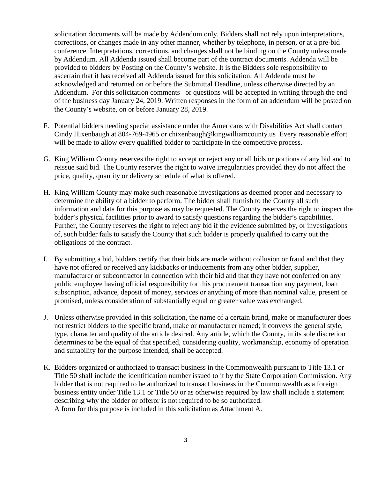solicitation documents will be made by Addendum only. Bidders shall not rely upon interpretations, corrections, or changes made in any other manner, whether by telephone, in person, or at a pre-bid conference. Interpretations, corrections, and changes shall not be binding on the County unless made by Addendum. All Addenda issued shall become part of the contract documents. Addenda will be provided to bidders by Posting on the County's website. It is the Bidders sole responsibility to ascertain that it has received all Addenda issued for this solicitation. All Addenda must be acknowledged and returned on or before the Submittal Deadline, unless otherwise directed by an Addendum. For this solicitation comments or questions will be accepted in writing through the end of the business day January 24, 2019. Written responses in the form of an addendum will be posted on the County's website, on or before January 28, 2019.

- F. Potential bidders needing special assistance under the Americans with Disabilities Act shall contact Cindy Hixenbaugh at 804-769-4965 or chixenbaugh@kingwilliamcounty.us Every reasonable effort will be made to allow every qualified bidder to participate in the competitive process.
- G. King William County reserves the right to accept or reject any or all bids or portions of any bid and to reissue said bid. The County reserves the right to waive irregularities provided they do not affect the price, quality, quantity or delivery schedule of what is offered.
- H. King William County may make such reasonable investigations as deemed proper and necessary to determine the ability of a bidder to perform. The bidder shall furnish to the County all such information and data for this purpose as may be requested. The County reserves the right to inspect the bidder's physical facilities prior to award to satisfy questions regarding the bidder's capabilities. Further, the County reserves the right to reject any bid if the evidence submitted by, or investigations of, such bidder fails to satisfy the County that such bidder is properly qualified to carry out the obligations of the contract.
- I. By submitting a bid, bidders certify that their bids are made without collusion or fraud and that they have not offered or received any kickbacks or inducements from any other bidder, supplier, manufacturer or subcontractor in connection with their bid and that they have not conferred on any public employee having official responsibility for this procurement transaction any payment, loan subscription, advance, deposit of money, services or anything of more than nominal value, present or promised, unless consideration of substantially equal or greater value was exchanged.
- J. Unless otherwise provided in this solicitation, the name of a certain brand, make or manufacturer does not restrict bidders to the specific brand, make or manufacturer named; it conveys the general style, type, character and quality of the article desired. Any article, which the County, in its sole discretion determines to be the equal of that specified, considering quality, workmanship, economy of operation and suitability for the purpose intended, shall be accepted.
- K. Bidders organized or authorized to transact business in the Commonwealth pursuant to Title 13.1 or Title 50 shall include the identification number issued to it by the State Corporation Commission. Any bidder that is not required to be authorized to transact business in the Commonwealth as a foreign business entity under Title 13.1 or Title 50 or as otherwise required by law shall include a statement describing why the bidder or offeror is not required to be so authorized. A form for this purpose is included in this solicitation as Attachment A.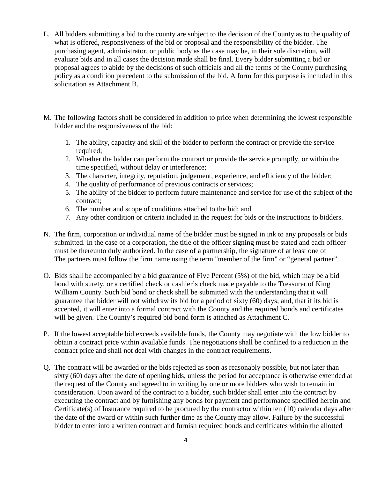- L. All bidders submitting a bid to the county are subject to the decision of the County as to the quality of what is offered, responsiveness of the bid or proposal and the responsibility of the bidder. The purchasing agent, administrator, or public body as the case may be, in their sole discretion, will evaluate bids and in all cases the decision made shall be final. Every bidder submitting a bid or proposal agrees to abide by the decisions of such officials and all the terms of the County purchasing policy as a condition precedent to the submission of the bid. A form for this purpose is included in this solicitation as Attachment B.
- M. The following factors shall be considered in addition to price when determining the lowest responsible bidder and the responsiveness of the bid:
	- 1. The ability, capacity and skill of the bidder to perform the contract or provide the service required:
	- 2. Whether the bidder can perform the contract or provide the service promptly, or within the time specified, without delay or interference;
	- 3. The character, integrity, reputation, judgement, experience, and efficiency of the bidder;
	- 4. The quality of performance of previous contracts or services;
	- 5. The ability of the bidder to perform future maintenance and service for use of the subject of the contract;
	- 6. The number and scope of conditions attached to the bid; and
	- 7. Any other condition or criteria included in the request for bids or the instructions to bidders.
- N. The firm, corporation or individual name of the bidder must be signed in ink to any proposals or bids submitted. In the case of a corporation, the title of the officer signing must be stated and each officer must be thereunto duly authorized. In the case of a partnership, the signature of at least one of The partners must follow the firm name using the term "member of the firm" or "general partner".
- O. Bids shall be accompanied by a bid guarantee of Five Percent (5%) of the bid, which may be a bid bond with surety, or a certified check or cashier's check made payable to the Treasurer of King William County. Such bid bond or check shall be submitted with the understanding that it will guarantee that bidder will not withdraw its bid for a period of sixty (60) days; and, that if its bid is accepted, it will enter into a formal contract with the County and the required bonds and certificates will be given. The County's required bid bond form is attached as Attachment C.
- P. If the lowest acceptable bid exceeds available funds, the County may negotiate with the low bidder to obtain a contract price within available funds. The negotiations shall be confined to a reduction in the contract price and shall not deal with changes in the contract requirements.
- Q. The contract will be awarded or the bids rejected as soon as reasonably possible, but not later than sixty (60) days after the date of opening bids, unless the period for acceptance is otherwise extended at the request of the County and agreed to in writing by one or more bidders who wish to remain in consideration. Upon award of the contract to a bidder, such bidder shall enter into the contract by executing the contract and by furnishing any bonds for payment and performance specified herein and Certificate(s) of Insurance required to be procured by the contractor within ten (10) calendar days after the date of the award or within such further time as the County may allow. Failure by the successful bidder to enter into a written contract and furnish required bonds and certificates within the allotted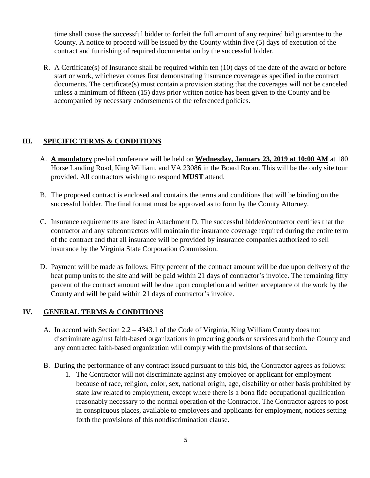time shall cause the successful bidder to forfeit the full amount of any required bid guarantee to the County. A notice to proceed will be issued by the County within five (5) days of execution of the contract and furnishing of required documentation by the successful bidder.

R. A Certificate(s) of Insurance shall be required within ten (10) days of the date of the award or before start or work, whichever comes first demonstrating insurance coverage as specified in the contract documents. The certificate(s) must contain a provision stating that the coverages will not be canceled unless a minimum of fifteen (15) days prior written notice has been given to the County and be accompanied by necessary endorsements of the referenced policies.

## **III. SPECIFIC TERMS & CONDITIONS**

- A. **A mandatory** pre-bid conference will be held on **Wednesday, January 23, 2019 at 10:00 AM** at 180 Horse Landing Road, King William, and VA 23086 in the Board Room. This will be the only site tour provided. All contractors wishing to respond **MUST** attend.
- B. The proposed contract is enclosed and contains the terms and conditions that will be binding on the successful bidder. The final format must be approved as to form by the County Attorney.
- C. Insurance requirements are listed in Attachment D. The successful bidder/contractor certifies that the contractor and any subcontractors will maintain the insurance coverage required during the entire term of the contract and that all insurance will be provided by insurance companies authorized to sell insurance by the Virginia State Corporation Commission.
- D. Payment will be made as follows: Fifty percent of the contract amount will be due upon delivery of the heat pump units to the site and will be paid within 21 days of contractor's invoice. The remaining fifty percent of the contract amount will be due upon completion and written acceptance of the work by the County and will be paid within 21 days of contractor's invoice.

## **IV. GENERAL TERMS & CONDITIONS**

- A. In accord with Section 2.2 4343.1 of the Code of Virginia, King William County does not discriminate against faith-based organizations in procuring goods or services and both the County and any contracted faith-based organization will comply with the provisions of that section.
- B. During the performance of any contract issued pursuant to this bid, the Contractor agrees as follows:
	- 1. The Contractor will not discriminate against any employee or applicant for employment because of race, religion, color, sex, national origin, age, disability or other basis prohibited by state law related to employment, except where there is a bona fide occupational qualification reasonably necessary to the normal operation of the Contractor. The Contractor agrees to post in conspicuous places, available to employees and applicants for employment, notices setting forth the provisions of this nondiscrimination clause.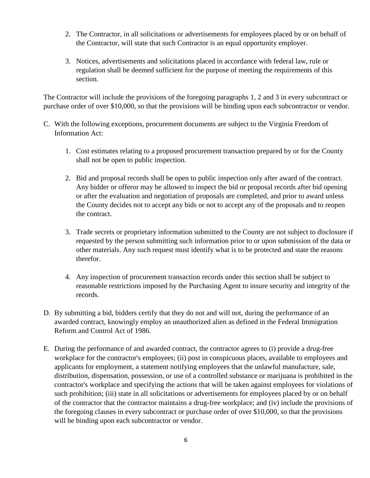- 2. The Contractor, in all solicitations or advertisements for employees placed by or on behalf of the Contractor, will state that such Contractor is an equal opportunity employer.
- 3. Notices, advertisements and solicitations placed in accordance with federal law, rule or regulation shall be deemed sufficient for the purpose of meeting the requirements of this section.

The Contractor will include the provisions of the foregoing paragraphs 1, 2 and 3 in every subcontract or purchase order of over \$10,000, so that the provisions will be binding upon each subcontractor or vendor.

- C. With the following exceptions, procurement documents are subject to the Virginia Freedom of Information Act:
	- 1. Cost estimates relating to a proposed procurement transaction prepared by or for the County shall not be open to public inspection.
	- 2. Bid and proposal records shall be open to public inspection only after award of the contract. Any bidder or offeror may be allowed to inspect the bid or proposal records after bid opening or after the evaluation and negotiation of proposals are completed, and prior to award unless the County decides not to accept any bids or not to accept any of the proposals and to reopen the contract.
	- 3. Trade secrets or proprietary information submitted to the County are not subject to disclosure if requested by the person submitting such information prior to or upon submission of the data or other materials. Any such request must identify what is to be protected and state the reasons therefor.
	- 4. Any inspection of procurement transaction records under this section shall be subject to reasonable restrictions imposed by the Purchasing Agent to insure security and integrity of the records.
- D. By submitting a bid, bidders certify that they do not and will not, during the performance of an awarded contract, knowingly employ an unauthorized alien as defined in the Federal Immigration Reform and Control Act of 1986.
- E. During the performance of and awarded contract, the contractor agrees to (i) provide a drug-free workplace for the contractor's employees; (ii) post in conspicuous places, available to employees and applicants for employment, a statement notifying employees that the unlawful manufacture, sale, distribution, dispensation, possession, or use of a controlled substance or marijuana is prohibited in the contractor's workplace and specifying the actions that will be taken against employees for violations of such prohibition; (iii) state in all solicitations or advertisements for employees placed by or on behalf of the contractor that the contractor maintains a drug-free workplace; and (iv) include the provisions of the foregoing clauses in every subcontract or purchase order of over \$10,000, so that the provisions will be binding upon each subcontractor or vendor.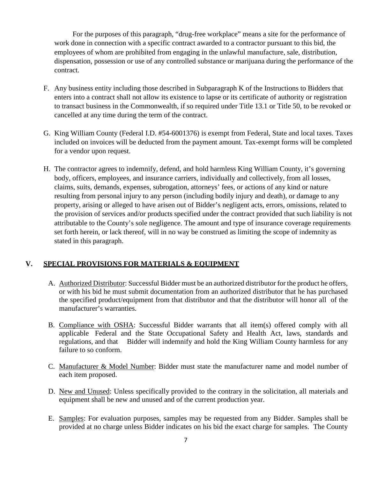For the purposes of this paragraph, "drug-free workplace" means a site for the performance of work done in connection with a specific contract awarded to a contractor pursuant to this bid, the employees of whom are prohibited from engaging in the unlawful manufacture, sale, distribution, dispensation, possession or use of any controlled substance or marijuana during the performance of the contract.

- F. Any business entity including those described in Subparagraph K of the Instructions to Bidders that enters into a contract shall not allow its existence to lapse or its certificate of authority or registration to transact business in the Commonwealth, if so required under Title 13.1 or Title 50, to be revoked or cancelled at any time during the term of the contract.
- G. King William County (Federal I.D. #54-6001376) is exempt from Federal, State and local taxes. Taxes included on invoices will be deducted from the payment amount. Tax-exempt forms will be completed for a vendor upon request.
- H. The contractor agrees to indemnify, defend, and hold harmless King William County, it's governing body, officers, employees, and insurance carriers, individually and collectively, from all losses, claims, suits, demands, expenses, subrogation, attorneys' fees, or actions of any kind or nature resulting from personal injury to any person (including bodily injury and death), or damage to any property, arising or alleged to have arisen out of Bidder's negligent acts, errors, omissions, related to the provision of services and/or products specified under the contract provided that such liability is not attributable to the County's sole negligence. The amount and type of insurance coverage requirements set forth herein, or lack thereof, will in no way be construed as limiting the scope of indemnity as stated in this paragraph.

#### **V. SPECIAL PROVISIONS FOR MATERIALS & EQUIPMENT**

- A. Authorized Distributor: Successful Bidder must be an authorized distributor for the product he offers, or with his bid he must submit documentation from an authorized distributor that he has purchased the specified product/equipment from that distributor and that the distributor will honor all of the manufacturer's warranties.
- B. Compliance with OSHA: Successful Bidder warrants that all item(s) offered comply with all applicable Federal and the State Occupational Safety and Health Act, laws, standards and regulations, and that Bidder will indemnify and hold the King William County harmless for any failure to so conform.
- C. Manufacturer & Model Number: Bidder must state the manufacturer name and model number of each item proposed.
- D. New and Unused: Unless specifically provided to the contrary in the solicitation, all materials and equipment shall be new and unused and of the current production year.
- E. Samples: For evaluation purposes, samples may be requested from any Bidder. Samples shall be provided at no charge unless Bidder indicates on his bid the exact charge for samples. The County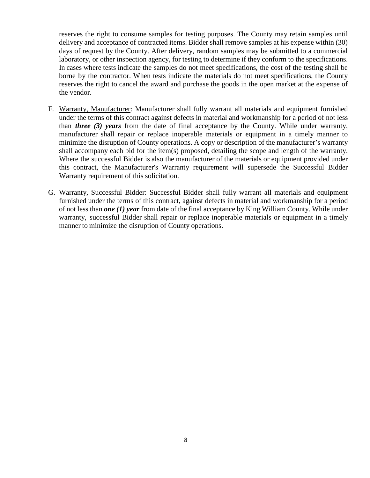reserves the right to consume samples for testing purposes. The County may retain samples until delivery and acceptance of contracted items. Bidder shall remove samples at his expense within (30) days of request by the County. After delivery, random samples may be submitted to a commercial laboratory, or other inspection agency, for testing to determine if they conform to the specifications. In cases where tests indicate the samples do not meet specifications, the cost of the testing shall be borne by the contractor. When tests indicate the materials do not meet specifications, the County reserves the right to cancel the award and purchase the goods in the open market at the expense of the vendor.

- F. Warranty, Manufacturer: Manufacturer shall fully warrant all materials and equipment furnished under the terms of this contract against defects in material and workmanship for a period of not less than *three (3) years* from the date of final acceptance by the County. While under warranty, manufacturer shall repair or replace inoperable materials or equipment in a timely manner to minimize the disruption of County operations. A copy or description of the manufacturer's warranty shall accompany each bid for the item(s) proposed, detailing the scope and length of the warranty. Where the successful Bidder is also the manufacturer of the materials or equipment provided under this contract, the Manufacturer's Warranty requirement will supersede the Successful Bidder Warranty requirement of this solicitation.
- G. Warranty, Successful Bidder: Successful Bidder shall fully warrant all materials and equipment furnished under the terms of this contract, against defects in material and workmanship for a period of not less than *one (1) year* from date of the final acceptance by King William County. While under warranty, successful Bidder shall repair or replace inoperable materials or equipment in a timely manner to minimize the disruption of County operations.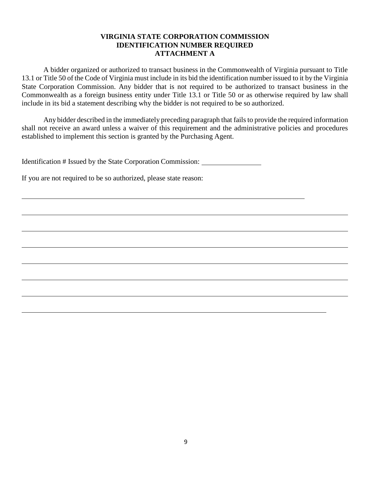#### **VIRGINIA STATE CORPORATION COMMISSION IDENTIFICATION NUMBER REQUIRED ATTACHMENT A**

A bidder organized or authorized to transact business in the Commonwealth of Virginia pursuant to Title 13.1 or Title 50 of the Code of Virginia must include in its bid the identification number issued to it by the Virginia State Corporation Commission. Any bidder that is not required to be authorized to transact business in the Commonwealth as a foreign business entity under Title 13.1 or Title 50 or as otherwise required by law shall include in its bid a statement describing why the bidder is not required to be so authorized.

Any bidder described in the immediately preceding paragraph that fails to provide the required information shall not receive an award unless a waiver of this requirement and the administrative policies and procedures established to implement this section is granted by the Purchasing Agent.

Identification # Issued by the State Corporation Commission:

If you are not required to be so authorized, please state reason: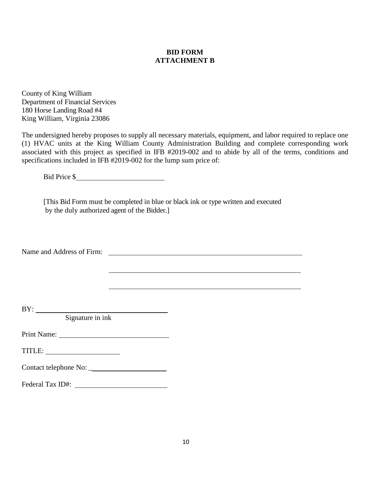### **BID FORM ATTACHMENT B**

County of King William Department of Financial Services 180 Horse Landing Road #4 King William, Virginia 23086

The undersigned hereby proposes to supply all necessary materials, equipment, and labor required to replace one (1) HVAC units at the King William County Administration Building and complete corresponding work associated with this project as specified in IFB #2019-002 and to abide by all of the terms, conditions and specifications included in IFB #2019-002 for the lump sum price of:

Bid Price \$

[This Bid Form must be completed in blue or black ink or type written and executed by the duly authorized agent of the Bidder.]

Name and Address of Firm:

BY: Signature in ink

Print Name: University of the University of the University of the University of the University of the University of the University of the University of the University of the University of the University of the University o

TITLE:

Contact telephone No: \_

Federal Tax ID#: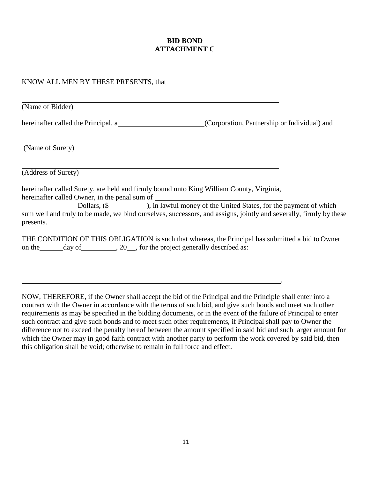### **BID BOND ATTACHMENT C**

#### KNOW ALL MEN BY THESE PRESENTS, that

| (Name of Bidder)                                                                                                                                              |                                                                                                |
|---------------------------------------------------------------------------------------------------------------------------------------------------------------|------------------------------------------------------------------------------------------------|
| hereinafter called the Principal, a                                                                                                                           | (Corporation, Partnership or Individual) and                                                   |
| (Name of Surety)                                                                                                                                              |                                                                                                |
| (Address of Surety)                                                                                                                                           |                                                                                                |
| hereinafter called Surety, are held and firmly bound unto King William County, Virginia,                                                                      |                                                                                                |
| sum well and truly to be made, we bind ourselves, successors, and assigns, jointly and severally, firmly by these<br>presents.                                | Dollars, (\$ less London 2015), in lawful money of the United States, for the payment of which |
| THE CONDITION OF THIS OBLIGATION is such that whereas, the Principal has submitted a bid to Owner<br>on the day of 3. All the project generally described as: |                                                                                                |

NOW, THEREFORE, if the Owner shall accept the bid of the Principal and the Principle shall enter into a contract with the Owner in accordance with the terms of such bid, and give such bonds and meet such other requirements as may be specified in the bidding documents, or in the event of the failure of Principal to enter such contract and give such bonds and to meet such other requirements, if Principal shall pay to Owner the difference not to exceed the penalty hereof between the amount specified in said bid and such larger amount for which the Owner may in good faith contract with another party to perform the work covered by said bid, then this obligation shall be void; otherwise to remain in full force and effect.

.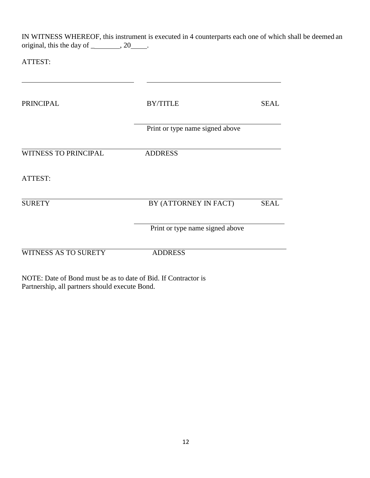IN WITNESS WHEREOF, this instrument is executed in 4 counterparts each one of which shall be deemed an original, this the day of  $\_\_\_\_\_$ , 20 $\_\_\_\_\_\$ .

<u> 1980 - Andrea Station, amerikansk politik (</u>

ATTEST:

| <b>PRINCIPAL</b>            | <b>BY/TITLE</b>                 | <b>SEAL</b> |
|-----------------------------|---------------------------------|-------------|
|                             | Print or type name signed above |             |
| <b>WITNESS TO PRINCIPAL</b> | <b>ADDRESS</b>                  |             |
| ATTEST:                     |                                 |             |
| <b>SURETY</b>               | BY (ATTORNEY IN FACT)           | <b>SEAL</b> |
|                             | Print or type name signed above |             |
| <b>WITNESS AS TO SURETY</b> | <b>ADDRESS</b>                  |             |

NOTE: Date of Bond must be as to date of Bid. If Contractor is Partnership, all partners should execute Bond.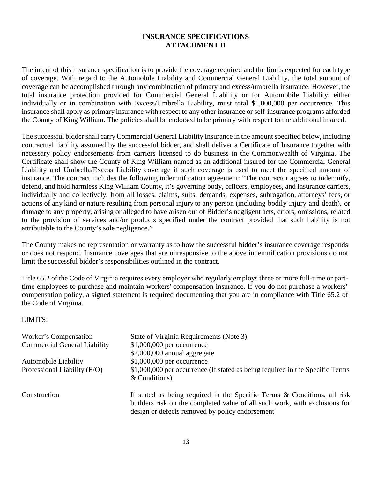## **INSURANCE SPECIFICATIONS ATTACHMENT D**

The intent of this insurance specification is to provide the coverage required and the limits expected for each type of coverage. With regard to the Automobile Liability and Commercial General Liability, the total amount of coverage can be accomplished through any combination of primary and excess/umbrella insurance. However, the total insurance protection provided for Commercial General Liability or for Automobile Liability, either individually or in combination with Excess/Umbrella Liability, must total \$1,000,000 per occurrence. This insurance shall apply as primary insurance with respect to any other insurance or self-insurance programs afforded the County of King William. The policies shall be endorsed to be primary with respect to the additional insured.

The successful bidder shall carry Commercial General Liability Insurance in the amount specified below, including contractual liability assumed by the successful bidder, and shall deliver a Certificate of Insurance together with necessary policy endorsements from carriers licensed to do business in the Commonwealth of Virginia. The Certificate shall show the County of King William named as an additional insured for the Commercial General Liability and Umbrella/Excess Liability coverage if such coverage is used to meet the specified amount of insurance. The contract includes the following indemnification agreement: "The contractor agrees to indemnify, defend, and hold harmless King William County, it's governing body, officers, employees, and insurance carriers, individually and collectively, from all losses, claims, suits, demands, expenses, subrogation, attorneys' fees, or actions of any kind or nature resulting from personal injury to any person (including bodily injury and death), or damage to any property, arising or alleged to have arisen out of Bidder's negligent acts, errors, omissions, related to the provision of services and/or products specified under the contract provided that such liability is not attributable to the County's sole negligence."

The County makes no representation or warranty as to how the successful bidder's insurance coverage responds or does not respond. Insurance coverages that are unresponsive to the above indemnification provisions do not limit the successful bidder's responsibilities outlined in the contract.

Title 65.2 of the Code of Virginia requires every employer who regularly employs three or more full-time or parttime employees to purchase and maintain workers' compensation insurance. If you do not purchase a workers' compensation policy, a signed statement is required documenting that you are in compliance with Title 65.2 of the Code of Virginia.

#### LIMITS:

| Worker's Compensation<br><b>Commercial General Liability</b> | State of Virginia Requirements (Note 3)<br>$$1,000,000$ per occurrence<br>$$2,000,000$ annual aggregate                                                                                                   |
|--------------------------------------------------------------|-----------------------------------------------------------------------------------------------------------------------------------------------------------------------------------------------------------|
| <b>Automobile Liability</b><br>Professional Liability (E/O)  | $$1,000,000$ per occurrence<br>\$1,000,000 per occurrence (If stated as being required in the Specific Terms<br>$&$ Conditions)                                                                           |
| Construction                                                 | If stated as being required in the Specific Terms & Conditions, all risk<br>builders risk on the completed value of all such work, with exclusions for<br>design or defects removed by policy endorsement |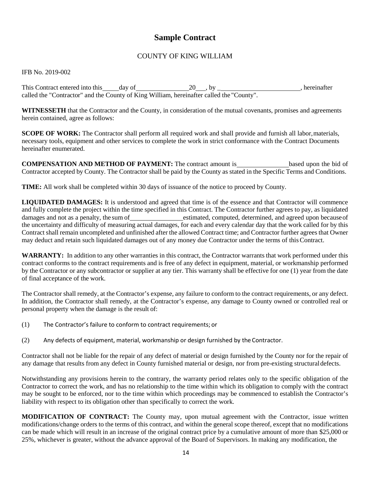# **Sample Contract**

## COUNTY OF KING WILLIAM

#### IFB No. 2019-002

This Contract entered into this day of 20 , by hereinafter called the "Contractor" and the County of King William, hereinafter called the "County".

**WITNESSETH** that the Contractor and the County, in consideration of the mutual covenants, promises and agreements herein contained, agree as follows:

**SCOPE OF WORK:** The Contractor shall perform all required work and shall provide and furnish all labor, materials, necessary tools, equipment and other services to complete the work in strict conformance with the Contract Documents hereinafter enumerated.

**COMPENSATION AND METHOD OF PAYMENT:** The contract amount is **based upon the bid of** Contractor accepted by County. The Contractor shall be paid by the County as stated in the Specific Terms and Conditions.

**TIME:** All work shall be completed within 30 days of issuance of the notice to proceed by County.

**LIQUIDATED DAMAGES:** It is understood and agreed that time is of the essence and that Contractor will commence and fully complete the project within the time specified in this Contract. The Contractor further agrees to pay, as liquidated damages and not as a penalty, the sum of estimated, computed, determined, and agreed upon because of the uncertainty and difficulty of measuring actual damages, for each and every calendar day that the work called for by this Contract shall remain uncompleted and unfinished after the allowed Contract time; and Contractor further agrees that Owner may deduct and retain such liquidated damages out of any money due Contractor under the terms of thisContract.

**WARRANTY:** In addition to any other warranties in this contract, the Contractor warrants that work performed under this contract conforms to the contract requirements and is free of any defect in equipment, material, or workmanship performed by the Contractor or any subcontractor or supplier at any tier. This warranty shall be effective for one (1) year from the date of final acceptance of the work.

The Contractor shall remedy, at the Contractor's expense, any failure to conform to the contract requirements, or any defect. In addition, the Contractor shall remedy, at the Contractor's expense, any damage to County owned or controlled real or personal property when the damage is the result of:

- (1) The Contractor's failure to conform to contract requirements; or
- (2) Any defects of equipment, material, workmanship or design furnished by the Contractor.

Contractor shall not be liable for the repair of any defect of material or design furnished by the County nor for the repair of any damage that results from any defect in County furnished material or design, nor from pre-existing structuraldefects.

Notwithstanding any provisions herein to the contrary, the warranty period relates only to the specific obligation of the Contractor to correct the work, and has no relationship to the time within which its obligation to comply with the contract may be sought to be enforced, nor to the time within which proceedings may be commenced to establish the Contractor's liability with respect to its obligation other than specifically to correct the work.

**MODIFICATION OF CONTRACT:** The County may, upon mutual agreement with the Contractor, issue written modifications/change orders to the terms of this contract, and within the general scope thereof, except that no modifications can be made which will result in an increase of the original contract price by a cumulative amount of more than \$25,000 or 25%, whichever is greater, without the advance approval of the Board of Supervisors. In making any modification, the